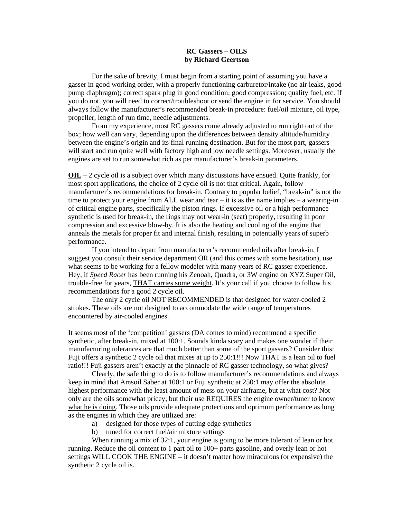## **RC Gassers – OILS by Richard Geertson**

For the sake of brevity, I must begin from a starting point of assuming you have a gasser in good working order, with a properly functioning carburetor/intake (no air leaks, good pump diaphragm); correct spark plug in good condition; good compression; quality fuel, etc. If you do not, you will need to correct/troubleshoot or send the engine in for service. You should always follow the manufacturer's recommended break-in procedure: fuel/oil mixture, oil type, propeller, length of run time, needle adjustments.

From my experience, most RC gassers come already adjusted to run right out of the box; how well can vary, depending upon the differences between density altitude/humidity between the engine's origin and its final running destination. But for the most part, gassers will start and run quite well with factory high and low needle settings. Moreover, usually the engines are set to run somewhat rich as per manufacturer's break-in parameters.

**OIL** – 2 cycle oil is a subject over which many discussions have ensued. Quite frankly, for most sport applications, the choice of 2 cycle oil is not that critical. Again, follow manufacturer's recommendations for break-in. Contrary to popular belief, "break-in" is not the time to protect your engine from ALL wear and tear – it is as the name implies – a wearing-in of critical engine parts, specifically the piston rings. If excessive oil or a high performance synthetic is used for break-in, the rings may not wear-in (seat) properly, resulting in poor compression and excessive blow-by. It is also the heating and cooling of the engine that anneals the metals for proper fit and internal finish, resulting in potentially years of superb performance.

If you intend to depart from manufacturer's recommended oils after break-in, I suggest you consult their service department OR (and this comes with some hesitation), use what seems to be working for a fellow modeler with many years of RC gasser experience. Hey, if *Speed Racer* has been running his Zenoah, Quadra, or 3W engine on XYZ Super Oil, trouble-free for years, THAT carries some weight. It's your call if you choose to follow his recommendations for a good 2 cycle oil.

The only 2 cycle oil NOT RECOMMENDED is that designed for water-cooled 2 strokes. These oils are not designed to accommodate the wide range of temperatures encountered by air-cooled engines.

It seems most of the 'competition' gassers (DA comes to mind) recommend a specific synthetic, after break-in, mixed at 100:1. Sounds kinda scary and makes one wonder if their manufacturing tolerances are that much better than some of the sport gassers? Consider this: Fuji offers a synthetic 2 cycle oil that mixes at up to 250:1!!! Now THAT is a lean oil to fuel ratio!!! Fuji gassers aren't exactly at the pinnacle of RC gasser technology, so what gives?

Clearly, the safe thing to do is to follow manufacturer's recommendations and always keep in mind that Amsoil Saber at 100:1 or Fuji synthetic at 250:1 may offer the absolute highest performance with the least amount of mess on your airframe, but at what cost? Not only are the oils somewhat pricey, but their use REQUIRES the engine owner/tuner to know what he is doing. Those oils provide adequate protections and optimum performance as long as the engines in which they are utilized are:

- a) designed for those types of cutting edge synthetics
- b) tuned for correct fuel/air mixture settings

When running a mix of 32:1, your engine is going to be more tolerant of lean or hot running. Reduce the oil content to 1 part oil to 100+ parts gasoline, and overly lean or hot settings WILL COOK THE ENGINE – it doesn't matter how miraculous (or expensive) the synthetic 2 cycle oil is.